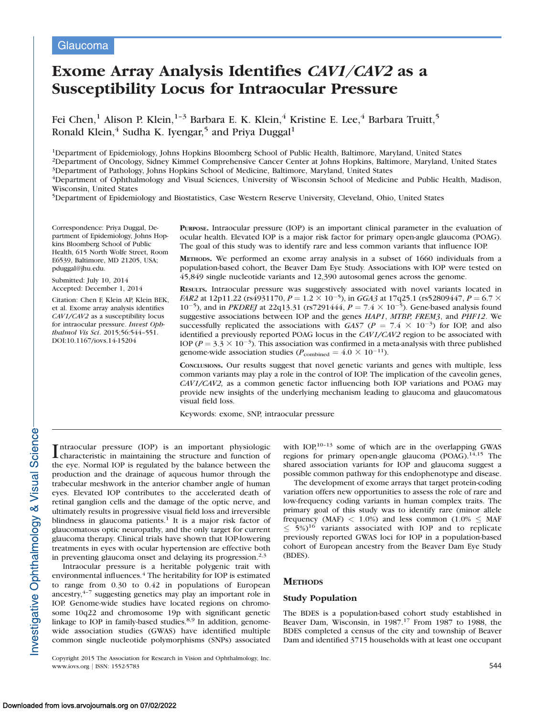# Exome Array Analysis Identifies CAV1/CAV2 as a Susceptibility Locus for Intraocular Pressure

Fei Chen,<sup>1</sup> Alison P. Klein,<sup>1-3</sup> Barbara E. K. Klein,<sup>4</sup> Kristine E. Lee,<sup>4</sup> Barbara Truitt,<sup>5</sup> Ronald Klein, $4$  Sudha K. Iyengar, $5$  and Priya Duggal<sup>1</sup>

1Department of Epidemiology, Johns Hopkins Bloomberg School of Public Health, Baltimore, Maryland, United States

2Department of Oncology, Sidney Kimmel Comprehensive Cancer Center at Johns Hopkins, Baltimore, Maryland, United States 3Department of Pathology, Johns Hopkins School of Medicine, Baltimore, Maryland, United States

4Department of Ophthalmology and Visual Sciences, University of Wisconsin School of Medicine and Public Health, Madison, Wisconsin, United States

5Department of Epidemiology and Biostatistics, Case Western Reserve University, Cleveland, Ohio, United States

Correspondence: Priya Duggal, Department of Epidemiology, Johns Hopkins Bloomberg School of Public Health, 615 North Wolfe Street, Room E6539, Baltimore, MD 21205, USA; pduggal@jhu.edu.

Submitted: July 10, 2014 Accepted: December 1, 2014

Citation: Chen F, Klein AP, Klein BEK, et al. Exome array analysis identifies CAV1/CAV2 as a susceptibility locus for intraocular pressure. Invest Ophthalmol Vis Sci. 2015;56:544–551. DOI:10.1167/iovs.14-15204

PURPOSE. Intraocular pressure (IOP) is an important clinical parameter in the evaluation of ocular health. Elevated IOP is a major risk factor for primary open-angle glaucoma (POAG). The goal of this study was to identify rare and less common variants that influence IOP.

METHODS. We performed an exome array analysis in a subset of 1660 individuals from a population-based cohort, the Beaver Dam Eye Study. Associations with IOP were tested on 45,849 single nucleotide variants and 12,390 autosomal genes across the genome.

RESULTS. Intraocular pressure was suggestively associated with novel variants located in *FAR2* at 12p11.22 (rs4931170,  $P = 1.2 \times 10^{-5}$ ), in GGA3 at 17q25.1 (rs52809447,  $P = 6.7 \times$ 10<sup>-5</sup>), and in *PKDREJ* at 22q13.31 (rs7291444,  $P = 7.4 \times 10^{-5}$ ). Gene-based analysis found suggestive associations between IOP and the genes HAP1, MTBP, FREM3, and PHF12. We successfully replicated the associations with  $GAS7$  ( $P = 7.4 \times 10^{-3}$ ) for IOP, and also identified a previously reported POAG locus in the CAV1/CAV2 region to be associated with IOP ( $P = 3.3 \times 10^{-3}$ ). This association was confirmed in a meta-analysis with three published genome-wide association studies ( $P_{\text{combined}} = 4.0 \times 10^{-11}$ ).

CONCLUSIONS. Our results suggest that novel genetic variants and genes with multiple, less common variants may play a role in the control of IOP. The implication of the caveolin genes, CAV1/CAV2, as a common genetic factor influencing both IOP variations and POAG may provide new insights of the underlying mechanism leading to glaucoma and glaucomatous visual field loss.

Keywords: exome, SNP, intraocular pressure

Intraocular pressure (IOP) is an important physiologic<br>characteristic in maintaining the structure and function of characteristic in maintaining the structure and function of the eye. Normal IOP is regulated by the balance between the production and the drainage of aqueous humor through the trabecular meshwork in the anterior chamber angle of human eyes. Elevated IOP contributes to the accelerated death of retinal ganglion cells and the damage of the optic nerve, and ultimately results in progressive visual field loss and irreversible blindness in glaucoma patients.<sup>1</sup> It is a major risk factor of glaucomatous optic neuropathy, and the only target for current glaucoma therapy. Clinical trials have shown that IOP-lowering treatments in eyes with ocular hypertension are effective both in preventing glaucoma onset and delaying its progression.2,3

Intraocular pressure is a heritable polygenic trait with environmental influences.<sup>4</sup> The heritability for IOP is estimated to range from 0.30 to 0.42 in populations of European ancestry, $4-7$  suggesting genetics may play an important role in IOP. Genome-wide studies have located regions on chromosome 10q22 and chromosome 19p with significant genetic linkage to IOP in family-based studies.<sup>8,9</sup> In addition, genomewide association studies (GWAS) have identified multiple common single nucleotide polymorphisms (SNPs) associated

Copyright 2015 The Association for Research in Vision and Ophthalmology, Inc. www.iovs.org | ISSN: 1552-5783 544

with IOP,<sup>10-13</sup> some of which are in the overlapping GWAS regions for primary open-angle glaucoma (POAG).<sup>14,15</sup> The shared association variants for IOP and glaucoma suggest a possible common pathway for this endophenotype and disease.

The development of exome arrays that target protein-coding variation offers new opportunities to assess the role of rare and low-frequency coding variants in human complex traits. The primary goal of this study was to identify rare (minor allele frequency (MAF)  $< 1.0\%$ ) and less common (1.0%  $\leq$  MAF  $\leq$  5%)<sup>16</sup> variants associated with IOP and to replicate previously reported GWAS loci for IOP in a population-based cohort of European ancestry from the Beaver Dam Eye Study (BDES).

# **METHODS**

#### Study Population

The BDES is a population-based cohort study established in Beaver Dam, Wisconsin, in 1987.<sup>17</sup> From 1987 to 1988, the BDES completed a census of the city and township of Beaver Dam and identified 3715 households with at least one occupant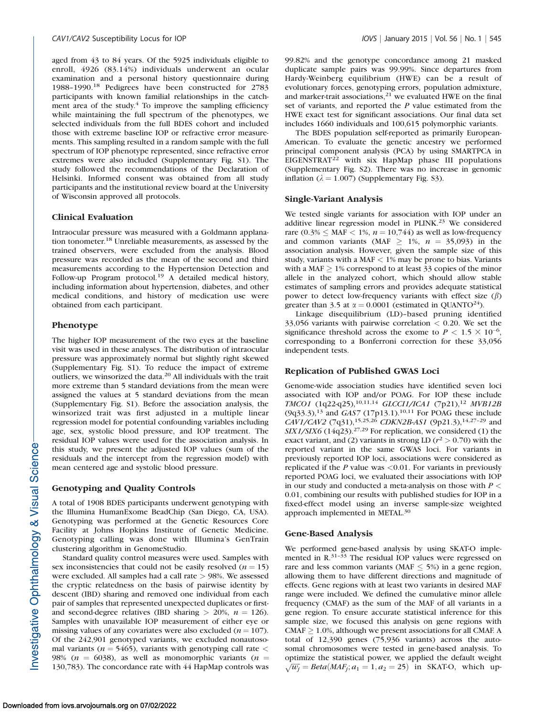aged from 43 to 84 years. Of the 5925 individuals eligible to enroll, 4926 (83.14%) individuals underwent an ocular examination and a personal history questionnaire during 1988–1990.<sup>18</sup> Pedigrees have been constructed for 2783 participants with known familial relationships in the catchment area of the study. $4$  To improve the sampling efficiency while maintaining the full spectrum of the phenotypes, we selected individuals from the full BDES cohort and included those with extreme baseline IOP or refractive error measurements. This sampling resulted in a random sample with the full spectrum of IOP phenotype represented, since refractive error extremes were also included ([Supplementary Fig. S1\)](http://www.iovs.org/content/56/1/544/suppl/DC1). The study followed the recommendations of the Declaration of Helsinki. Informed consent was obtained from all study participants and the institutional review board at the University of Wisconsin approved all protocols.

#### Clinical Evaluation

Intraocular pressure was measured with a Goldmann applanation tonometer.18 Unreliable measurements, as assessed by the trained observers, were excluded from the analysis. Blood pressure was recorded as the mean of the second and third measurements according to the Hypertension Detection and Follow-up Program protocol.<sup>19</sup> A detailed medical history, including information about hypertension, diabetes, and other medical conditions, and history of medication use were obtained from each participant.

### Phenotype

The higher IOP measurement of the two eyes at the baseline visit was used in these analyses. The distribution of intraocular pressure was approximately normal but slightly right skewed ([Supplementary Fig. S1](http://www.iovs.org/content/56/1/544/suppl/DC1)). To reduce the impact of extreme outliers, we winsorized the data.<sup>20</sup> All individuals with the trait more extreme than 5 standard deviations from the mean were assigned the values at 5 standard deviations from the mean ([Supplementary Fig. S1\)](http://www.iovs.org/content/56/1/544/suppl/DC1). Before the association analysis, the winsorized trait was first adjusted in a multiple linear regression model for potential confounding variables including age, sex, systolic blood pressure, and IOP treatment. The residual IOP values were used for the association analysis. In this study, we present the adjusted IOP values (sum of the residuals and the intercept from the regression model) with mean centered age and systolic blood pressure.

#### Genotyping and Quality Controls

A total of 1908 BDES participants underwent genotyping with the Illumina HumanExome BeadChip (San Diego, CA, USA). Genotyping was performed at the Genetic Resources Core Facility at Johns Hopkins Institute of Genetic Medicine. Genotyping calling was done with Illumina's GenTrain clustering algorithm in GenomeStudio.

Standard quality control measures were used. Samples with sex inconsistencies that could not be easily resolved ( $n = 15$ ) were excluded. All samples had a call rate > 98%. We assessed the cryptic relatedness on the basis of pairwise identity by descent (IBD) sharing and removed one individual from each pair of samples that represented unexpected duplicates or firstand second-degree relatives (IBD sharing  $> 20\%$ ,  $n = 126$ ). Samples with unavailable IOP measurement of either eye or missing values of any covariates were also excluded ( $n = 107$ ). Of the 242,901 genotyped variants, we excluded nonautosomal variants ( $n = 5465$ ), variants with genotyping call rate  $\lt$ 98% ( $n = 6038$ ), as well as monomorphic variants ( $n =$ 130,783). The concordance rate with 44 HapMap controls was

99.82% and the genotype concordance among 21 masked duplicate sample pairs was 99.99%. Since departures from Hardy-Weinberg equilibrium (HWE) can be a result of evolutionary forces, genotyping errors, population admixture, and marker-trait associations, $21$  we evaluated HWE on the final set of variants, and reported the P value estimated from the HWE exact test for significant associations. Our final data set includes 1660 individuals and 100,615 polymorphic variants.

The BDES population self-reported as primarily European-American. To evaluate the genetic ancestry we performed principal component analysis (PCA) by using SMARTPCA in EIGENSTRAT<sup>22</sup> with six HapMap phase III populations [\(Supplementary Fig. S2](http://www.iovs.org/content/56/1/544/suppl/DC1)). There was no increase in genomic inflation ( $\lambda = 1.007$ ) [\(Supplementary Fig. S3\)](http://www.iovs.org/content/56/1/544/suppl/DC1).

#### Single-Variant Analysis

We tested single variants for association with IOP under an additive linear regression model in PLINK.<sup>23</sup> We considered rare (0.3%  $\leq$  MAF  $\leq$  1%,  $n = 10,744$ ) as well as low-frequency and common variants (MAF  $> 1\%$ ,  $n = 35,093$ ) in the association analysis. However, given the sample size of this study, variants with a MAF  $<$  1% may be prone to bias. Variants with a MAF  $\geq$  1% correspond to at least 33 copies of the minor allele in the analyzed cohort, which should allow stable estimates of sampling errors and provides adequate statistical power to detect low-frequency variants with effect size  $(\beta)$ greater than 3.5 at  $\alpha = 0.0001$  (estimated in QUANTO<sup>24</sup>).

Linkage disequilibrium (LD)–based pruning identified 33,056 variants with pairwise correlation < 0.20. We set the significance threshold across the exome to  $P < 1.5 \times 10^{-6}$ , corresponding to a Bonferroni correction for these 33,056 independent tests.

#### Replication of Published GWAS Loci

Genome-wide association studies have identified seven loci associated with IOP and/or POAG. For IOP these include TMCO1 (1q22-q25),<sup>10,11,14</sup> GLCCI1/ICA1 (7p21),<sup>12</sup> MVB12B  $(9q33.3),^{13}$  and  $GAS7$  (17p13.1).<sup>10,11</sup> For POAG these include CAV1/CAV2 (7q31),<sup>15,25,26</sup> CDKN2B-AS1 (9p21.3),<sup>14,27-29</sup> and  $SIX1/SIX6$  (14q23).<sup>27,29</sup> For replication, we considered (1) the exact variant, and (2) variants in strong LD ( $r^2 > 0.70$ ) with the reported variant in the same GWAS loci. For variants in previously reported IOP loci, associations were considered as replicated if the  $P$  value was <0.01. For variants in previously reported POAG loci, we evaluated their associations with IOP in our study and conducted a meta-analysis on those with  $P \leq$ 0.01, combining our results with published studies for IOP in a fixed-effect model using an inverse sample-size weighted approach implemented in METAL.<sup>30</sup>

#### Gene-Based Analysis

We performed gene-based analysis by using SKAT-O implemented in R.<sup>31–33</sup> The residual IOP values were regressed on rare and less common variants (MAF  $\leq$  5%) in a gene region, allowing them to have different directions and magnitude of effects. Gene regions with at least two variants in desired MAF range were included. We defined the cumulative minor allele frequency (CMAF) as the sum of the MAF of all variants in a gene region. To ensure accurate statistical inference for this sample size, we focused this analysis on gene regions with CMAF  $\geq$  1.0%, although we present associations for all CMAF. A total of 12,390 genes (75,936 variants) across the autosomal chromosomes were tested in gene-based analysis. To optimize the statistical power, we applied the default weight behinds the statistical power, we applied the default weight  $\sqrt{w_j} = Beta(MAF_j; a_1 = 1, a_2 = 25)$  in SKAT-O, which up-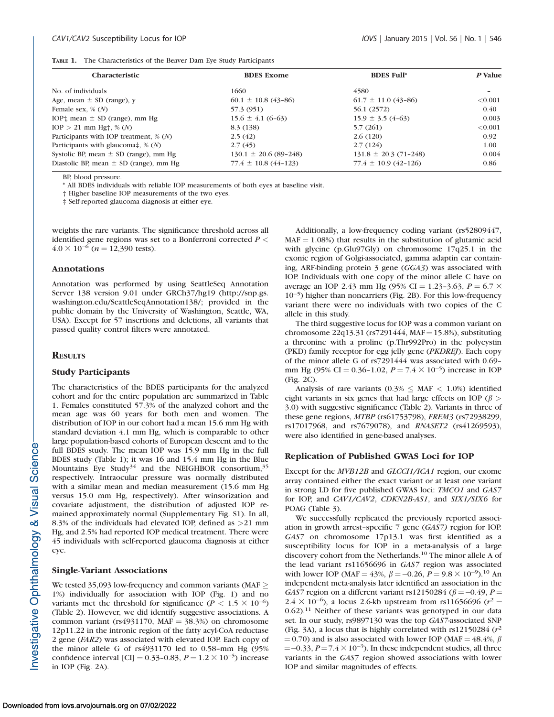|  |  |  |  |  |  |  |  | <b>TABLE 1.</b> The Characteristics of the Beaver Dam Eye Study Participants |  |
|--|--|--|--|--|--|--|--|------------------------------------------------------------------------------|--|
|--|--|--|--|--|--|--|--|------------------------------------------------------------------------------|--|

| <b>Characteristic</b>                                              | <b>BDES</b> Exome          | <b>BDES Full*</b>         | P Value                  |
|--------------------------------------------------------------------|----------------------------|---------------------------|--------------------------|
| No. of individuals                                                 | 1660                       | 4580                      | $\overline{\phantom{0}}$ |
| Age, mean $\pm$ SD (range), y                                      | $60.1 \pm 10.8$ (43-86)    | $61.7 \pm 11.0$ (43-86)   | < 0.001                  |
| Female sex, $\%$ $(N)$                                             | 57.3 (951)                 | 56.1 (2572)               | 0.40                     |
| IOP <sup><math>\dagger</math></sup> , mean $\pm$ SD (range), mm Hg | $15.6 \pm 4.1$ (6-63)      | $15.9 \pm 3.5(4-63)$      | 0.003                    |
| $IOP > 21$ mm Hg <sup>+</sup> , % (N)                              | 8.3 (138)                  | 5.7(261)                  | < 0.001                  |
| Participants with IOP treatment, $\%$ (N)                          | 2.5(42)                    | 2.6(120)                  | 0.92                     |
| Participants with glaucoma‡, $\%$ (N)                              | 2.7(45)                    | 2.7(124)                  | 1.00                     |
| Systolic BP, mean $\pm$ SD (range), mm Hg                          | $130.1 \pm 20.6$ (89-248)  | $131.8 \pm 20.3$ (71-248) | 0.004                    |
| Diastolic BP, mean $\pm$ SD (range), mm Hg                         | $77.4 \pm 10.8 (44 - 123)$ | $77.4 \pm 10.9$ (42-126)  | 0.86                     |

BP, blood pressure.

\* All BDES individuals with reliable IOP measurements of both eyes at baseline visit.

† Higher baseline IOP measurements of the two eyes.

‡ Self-reported glaucoma diagnosis at either eye.

weights the rare variants. The significance threshold across all identified gene regions was set to a Bonferroni corrected  $P <$  $4.0 \times 10^{-6}$  (*n* = 12,390 tests).

#### Annotations

Annotation was performed by using SeattleSeq Annotation Server 138 version 9.01 under GRCh37/hg19 (http://snp.gs. washington.edu/SeattleSeqAnnotation138/; provided in the public domain by the University of Washington, Seattle, WA, USA). Except for 57 insertions and deletions, all variants that passed quality control filters were annotated.

# **RESULTS**

## Study Participants

The characteristics of the BDES participants for the analyzed cohort and for the entire population are summarized in Table 1. Females constituted 57.3% of the analyzed cohort and the mean age was 60 years for both men and women. The distribution of IOP in our cohort had a mean 15.6 mm Hg with standard deviation 4.1 mm Hg, which is comparable to other large population-based cohorts of European descent and to the full BDES study. The mean IOP was 15.9 mm Hg in the full BDES study (Table 1); it was 16 and 15.4 mm Hg in the Blue Mountains Eye Study<sup>34</sup> and the NEIGHBOR consortium,<sup>35</sup> respectively. Intraocular pressure was normally distributed with a similar mean and median measurement (15.6 mm Hg versus 15.0 mm Hg, respectively). After winsorization and covariate adjustment, the distribution of adjusted IOP remained approximately normal ([Supplementary Fig. S1](http://www.iovs.org/content/56/1/544/suppl/DC1)). In all, 8.3% of the individuals had elevated IOP, defined as >21 mm Hg, and 2.5% had reported IOP medical treatment. There were 45 individuals with self-reported glaucoma diagnosis at either eye.

#### Single-Variant Associations

We tested 35,093 low-frequency and common variants (MAF  $\geq$ 1%) individually for association with IOP (Fig. 1) and no variants met the threshold for significance ( $P < 1.5 \times 10^{-6}$ ) (Table 2). However, we did identify suggestive associations. A common variant (rs4931170, MAF =  $38.3\%$ ) on chromosome 12p11.22 in the intronic region of the fatty acyl-CoA reductase 2 gene (FAR2) was associated with elevated IOP. Each copy of the minor allele G of rs4931170 led to 0.58–mm Hg (95% confidence interval [CI] = 0.33-0.83,  $P = 1.2 \times 10^{-5}$ ) increase in IOP (Fig. 2A).

Additionally, a low-frequency coding variant (rs52809447,  $MAF = 1.08\%$ ) that results in the substitution of glutamic acid with glycine (p.Glu97Gly) on chromosome 17q25.1 in the exonic region of Golgi-associated, gamma adaptin ear containing, ARF-binding protein 3 gene (GGA3) was associated with IOP. Individuals with one copy of the minor allele C have on average an IOP 2.43 mm Hg (95% CI = 1.23-3.63,  $P = 6.7 \times$ 10-5) higher than noncarriers (Fig. 2B). For this low-frequency variant there were no individuals with two copies of the C allele in this study.

The third suggestive locus for IOP was a common variant on chromosome 22q13.31 (rs7291444, MAF = 15.8%), substituting a threonine with a proline (p.Thr992Pro) in the polycystin (PKD) family receptor for egg jelly gene (PKDREJ). Each copy of the minor allele G of rs7291444 was associated with 0.69– mm Hg (95% CI = 0.36-1.02,  $P = 7.4 \times 10^{-5}$ ) increase in IOP (Fig. 2C).

Analysis of rare variants (0.3%  $\leq$  MAF  $<$  1.0%) identified eight variants in six genes that had large effects on IOP ( $\beta$ ) 3.0) with suggestive significance (Table 2). Variants in three of these gene regions, MTBP (rs61753798), FREM3 (rs72938299, rs17017968, and rs7679078), and RNASET2 (rs41269593), were also identified in gene-based analyses.

#### Replication of Published GWAS Loci for IOP

Except for the MVB12B and GLCCI1/ICA1 region, our exome array contained either the exact variant or at least one variant in strong LD for five published GWAS loci: TMCO1 and GAS7 for IOP, and CAV1/CAV2, CDKN2B-AS1, and SIX1/SIX6 for POAG (Table 3).

We successfully replicated the previously reported association in growth arrest–specific 7 gene (GAS7) region for IOP. GAS7 on chromosome 17p13.1 was first identified as a susceptibility locus for IOP in a meta-analysis of a large discovery cohort from the Netherlands.<sup>10</sup> The minor allele A of the lead variant rs11656696 in GAS7 region was associated with lower IOP (MAF = 43%,  $\beta = -0.26$ ,  $P = 9.8 \times 10^{-9}$ ).<sup>10</sup> An independent meta-analysis later identified an association in the GAS7 region on a different variant rs12150284 ( $\beta$  = -0.49, P =  $2.4 \times 10^{-6}$ ), a locus 2.6-kb upstream from rs11656696 ( $r^2$  =  $0.62$ ).<sup>11</sup> Neither of these variants was genotyped in our data set. In our study, rs9897130 was the top GAS7-associated SNP (Fig. 3A), a locus that is highly correlated with  $rs12150284 (r^2)$  $(0.70)$  and is also associated with lower IOP (MAF = 48.4%,  $\beta$ )  $=$  -0.33,  $P = 7.4 \times 10^{-3}$ ). In these independent studies, all three variants in the GAS7 region showed associations with lower IOP and similar magnitudes of effects.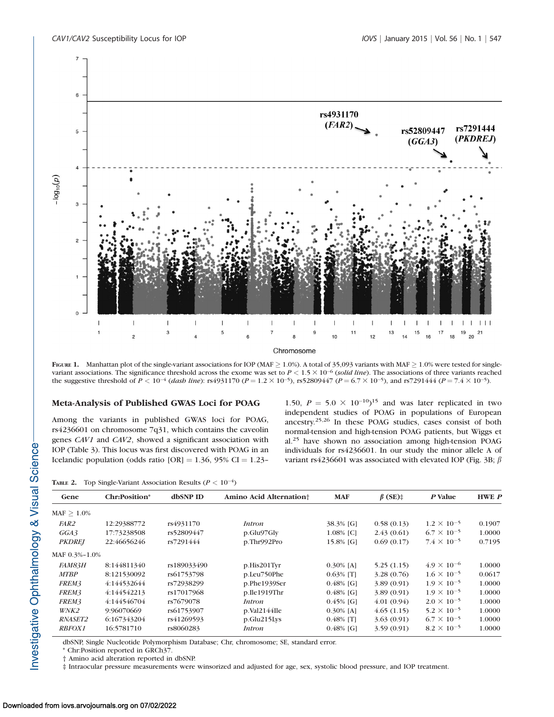

FIGURE 1. Manhattan plot of the single-variant associations for IOP (MAF  $\geq$  1.0%). A total of 35,093 variants with MAF  $\geq$  1.0% were tested for singlevariant associations. The significance threshold across the exome was set to  $P < 1.5 \times 10^{-6}$  (solid line). The associations of three variants reached the suggestive threshold of  $P < 10^{-4}$  (dash line): rs4931170 ( $P = 1.2 \times 10^{-5}$ ), rs52809447 ( $P = 6.7 \times 10^{-5}$ ), and rs7291444 ( $P = 7.4 \times 10^{-5}$ ).

## Meta-Analysis of Published GWAS Loci for POAG

Among the variants in published GWAS loci for POAG, rs4236601 on chromosome 7q31, which contains the caveolin genes CAV1 and CAV2, showed a significant association with IOP (Table 3). This locus was first discovered with POAG in an Icelandic population (odds ratio  $[OR] = 1.36$ , 95% CI = 1.23–

1.50,  $P = 5.0 \times 10^{-10}$ <sup>15</sup> and was later replicated in two independent studies of POAG in populations of European ancestry.25,26 In these POAG studies, cases consist of both normal-tension and high-tension POAG patients, but Wiggs et al.<sup>25</sup> have shown no association among high-tension POAG individuals for rs4236601. In our study the minor allele A of variant rs4236601 was associated with elevated IOP (Fig. 3B;  $\beta$ )

**TABLE 2.** Top Single-Variant Association Results ( $P < 10^{-4}$ )

| Gene           | Chr:Position* | dbSNP ID    | Amino Acid Alternation <sup>+</sup> | <b>MAF</b>   | $\beta$ (SE) $\ddagger$ | P Value              | <b>HWE</b> P |
|----------------|---------------|-------------|-------------------------------------|--------------|-------------------------|----------------------|--------------|
| $MAF > 1.0\%$  |               |             |                                     |              |                         |                      |              |
| <i>FAR2</i>    | 12:29388772   | rs4931170   | <i>Intron</i>                       | 38.3% [G]    | 0.58(0.13)              | $1.2 \times 10^{-5}$ | 0.1907       |
| GGA3           | 17:73238508   | rs52809447  | p.Glu97Gly                          | 1.08% [C]    | 2.43(0.61)              | $6.7 \times 10^{-5}$ | 1.0000       |
| <b>PKDREI</b>  | 22:46656246   | rs7291444   | p.Thr992Pro                         | 15.8% [G]    | 0.69(0.17)              | $7.4 \times 10^{-5}$ | 0.7195       |
| MAF 0.3%-1.0%  |               |             |                                     |              |                         |                      |              |
| FAM83H         | 8:144811340   | rs189033490 | $p.His201$ Tyr                      | $0.30\%$ [A] | 5.25(1.15)              | $4.9 \times 10^{-6}$ | 1.0000       |
| <b>MTBP</b>    | 8:121530092   | rs61753798  | p.Leu750Phe                         | $0.63\%$ [T] | 3.28(0.76)              | $1.6 \times 10^{-5}$ | 0.0617       |
| FREM3          | 4:144532644   | rs72938299  | p.Phe1939Ser                        | $0.48\%$ [G] | 3.89(0.91)              | $1.9 \times 10^{-5}$ | 1.0000       |
| FREM3          | 4:144542213   | rs17017968  | p.Ile1919Thr                        | $0.48\%$ [G] | 3.89(0.91)              | $1.9 \times 10^{-5}$ | 1.0000       |
| FREM3          | 4:144546704   | rs7679078   | <i>Intron</i>                       | $0.45\%$ [G] | 4.01(0.94)              | $2.0 \times 10^{-5}$ | 1.0000       |
| WNK2           | 9:96070669    | rs61753907  | p.Val2144Ile                        | $0.30\%$ [A] | 4.65(1.15)              | $5.2 \times 10^{-5}$ | 1.0000       |
| <i>RNASET2</i> | 6:167343204   | rs41269593  | p.Glu215Lys                         | $0.48\%$ [T] | 3.63(0.91)              | $6.7 \times 10^{-5}$ | 1.0000       |
| <b>RBFOX1</b>  | 16:5781710    | rs8060283   | <i>Intron</i>                       | $0.48\%$ [G] | 3.59(0.91)              | $8.2 \times 10^{-5}$ | 1.0000       |

dbSNP, Single Nucleotide Polymorphism Database; Chr, chromosome; SE, standard error.

\* Chr:Position reported in GRCh37.

† Amino acid alteration reported in dbSNP.

‡ Intraocular pressure measurements were winsorized and adjusted for age, sex, systolic blood pressure, and IOP treatment.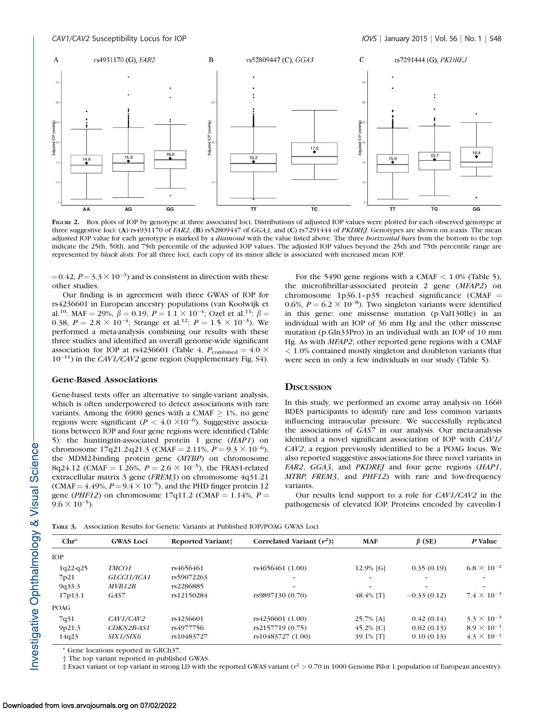

FIGURE 2. Box plots of IOP by genotype at three associated loci. Distributions of adjusted IOP values were plotted for each observed genotype at three suggestive loci: (A) rs4931170 of FAR2, (B) rs52809447 of GGA3, and (C) rs7291444 of PKDREJ. Genotypes are shown on x-axis. The mean adjusted IOP value for each genotype is marked by a diamond with the value listed above. The three borizontal bars from the bottom to the top indicate the 25th, 50th, and 75th percentile of the adjusted IOP values. The adjusted IOP values beyond the 25th and 75th percentile range are represented by black dots. For all three loci, each copy of its minor allele is associated with increased mean IOP.

 $(0.42, P=3.3 \times 10^{-3})$  and is consistent in direction with these other studies.

Our finding is in agreement with three GWAS of IOP for rs4236601 in European ancestry populations (van Koolwijk et al.<sup>10</sup>: MAF = 29%,  $\beta = 0.19$ ,  $P = 1.1 \times 10^{-4}$ ; Ozel et al.<sup>11</sup>:  $\beta =$ 0.38,  $P = 2.8 \times 10^{-4}$ ; Strange et al.<sup>12</sup>:  $P = 1.5 \times 10^{-3}$ ). We performed a meta-analysis combining our results with these three studies and identified an overall genome-wide significant association for IOP at rs4236601 (Table 4,  $P_{\rm combined} = 4.0 \times$ 10<sup>-11</sup>) in the CAV1/CAV2 gene region ([Supplementary Fig. S4\)](http://www.iovs.org/content/56/1/544/suppl/DC1).

# Gene-Based Associations

Gene-based tests offer an alternative to single-variant analysis, which is often underpowered to detect associations with rare variants. Among the 6900 genes with a CMAF  $\geq$  1%, no gene regions were significant ( $P < 4.0 \times 10^{-6}$ ). Suggestive associations between IOP and four gene regions were identified (Table 5): the huntingtin-associated protein 1 gene (HAP1) on chromosome 17q21.2-q21.3 (CMAF = 2.11%,  $P = 9.3 \times 10^{-6}$ ), the MDM2-binding protein gene (MTBP) on chromosome 8q24.12 (CMAF = 1.26%,  $P = 2.6 \times 10^{-5}$ ), the FRAS1-related extracellular matrix 3 gene (FREM3) on chromosome 4q31.21 (CMAF =  $4.49\%, P = 9.4 \times 10^{-5}$ ), and the PHD finger protein 12 gene (PHF12) on chromosome 17q11.2 (CMAF = 1.14%,  $P =$  $9.6 \times 10^{-5}$ ).

## For the 5490 gene regions with a CMAF  $< 1.0\%$  (Table 5), the microfibrillar-associated protein 2 gene (MFAP2) on chromosome  $1p36.1-p35$  reached significance (CMAF = 0.6%,  $P = 6.2 \times 10^{-8}$ ). Two singleton variants were identified in this gene: one missense mutation (p.Val130Ile) in an individual with an IOP of 36 mm Hg and the other missense mutation (p.Gln33Pro) in an individual with an IOP of 10 mm Hg. As with MFAP2, other reported gene regions with a CMAF < 1.0% contained mostly singleton and doubleton variants that were seen in only a few individuals in our study (Table 5).

# **DISCUSSION**

In this study, we performed an exome array analysis on 1660 BDES participants to identify rare and less common variants influencing intraocular pressure. We successfully replicated the associations of GAS7 in our analysis. Our meta-analysis identified a novel significant association of IOP with CAV1/ CAV2, a region previously identified to be a POAG locus. We also reported suggestive associations for three novel variants in FAR2, GGA3, and PKDREJ and four gene regions (HAP1, MTBP, FREM3, and PHF12) with rare and low-frequency variants.

Our results lend support to a role for CAV1/CAV2 in the pathogenesis of elevated IOP. Proteins encoded by caveolin-1

TABLE 3. Association Results for Genetic Variants at Published IOP/POAG GWAS Loci

|                                                                        | <b>Reported Variant</b> | <b>GWAS Loci</b> | $Chr^*$     |
|------------------------------------------------------------------------|-------------------------|------------------|-------------|
|                                                                        |                         |                  | <b>TOP</b>  |
| $6.8 \times 10^{-2}$<br>rs4656461 (1.00)<br>0.35(0.19)<br>12.9% [G]    | rs4656461               | TMCO1            | $1q22-q25$  |
| -                                                                      | rs59072263              | GLCCI1/ICA1      | 7p21        |
|                                                                        | rs2286885               | MVB12B           | 9q33.3      |
| $7.4 \times 10^{-3}$<br>48.4% [T]<br>$-0.33(0.12)$<br>rs9897130 (0.70) | rs12150284              | GAS7             | 17p13.1     |
|                                                                        |                         |                  | <b>POAG</b> |
| $3.3 \times 10^{-3}$<br>rs4236601 (1.00)<br>0.42(0.14)<br>25.7% [A]    | rs4236601               | CAV1/CAV2        | 7q31        |
| $8.9 \times 10^{-1}$<br>rs2157719 (0.75)<br>45.2% [C]<br>0.02(0.13)    | rs4977756               | CDKN2B-AS1       | 9p21.3      |
| $4.3 \times 10^{-1}$<br>rs10483727 (1.00)<br>0.10(0.13)<br>39.1% [T]   | rs10483727              | <i>SIX1/SIX6</i> | 14q23       |
|                                                                        |                         |                  |             |

\* Gene locations reported in GRCh37.

† The top variant reported in published GWAS.

 $\frac{1}{4}$  Exact variant or top variant in strong LD with the reported GWAS variant ( $r^2 > 0.70$  in 1000 Genome Pilot 1 population of European ancestry).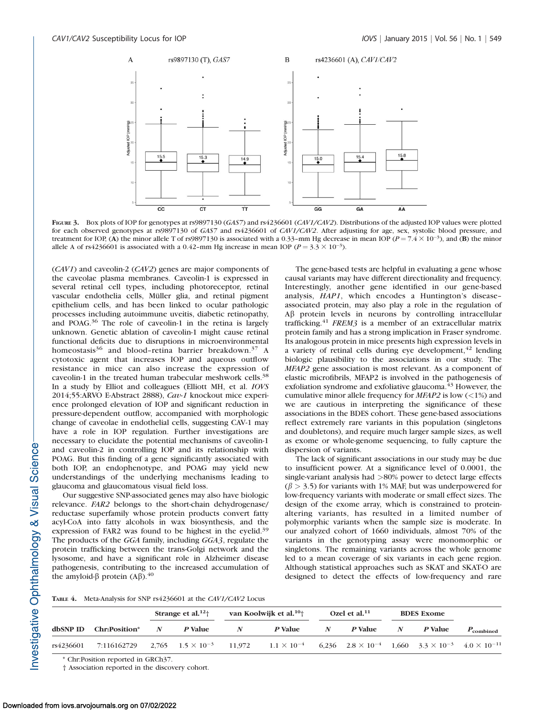

FIGURE 3. Box plots of IOP for genotypes at rs9897130 (GAS7) and rs4236601 (CAV1/CAV2). Distributions of the adjusted IOP values were plotted for each observed genotypes at rs9897130 of GAS7 and rs4236601 of CAV1/CAV2. After adjusting for age, sex, systolic blood pressure, and treatment for IOP, (A) the minor allele T of rs9897130 is associated with a 0.33-mm Hg decrease in mean IOP ( $P = 7.4 \times 10^{-3}$ ), and (B) the minor allele A of rs4236601 is associated with a 0.42-mm Hg increase in mean IOP ( $P = 3.3 \times 10^{-3}$ ).

(CAV1) and caveolin-2 (CAV2) genes are major components of the caveolae plasma membranes. Caveolin-1 is expressed in several retinal cell types, including photoreceptor, retinal vascular endothelia cells, Müller glia, and retinal pigment epithelium cells, and has been linked to ocular pathologic processes including autoimmune uveitis, diabetic retinopathy, and POAG.36 The role of caveolin-1 in the retina is largely unknown. Genetic ablation of caveolin-1 might cause retinal functional deficits due to disruptions in microenvironmental homeostasis<sup>36</sup> and blood-retina barrier breakdown.<sup>37</sup> A cytotoxic agent that increases IOP and aqueous outflow resistance in mice can also increase the expression of caveolin-1 in the treated human trabecular meshwork cells.<sup>38</sup> In a study by Elliot and colleagues (Elliott MH, et al. IOVS 2014;55:ARVO E-Abstract 2888), Cav-1 knockout mice experience prolonged elevation of IOP and significant reduction in pressure-dependent outflow, accompanied with morphologic change of caveolae in endothelial cells, suggesting CAV-1 may have a role in IOP regulation. Further investigations are necessary to elucidate the potential mechanisms of caveolin-1 and caveolin-2 in controlling IOP and its relationship with POAG. But this finding of a gene significantly associated with both IOP, an endophenotype, and POAG may yield new understandings of the underlying mechanisms leading to glaucoma and glaucomatous visual field loss.

Our suggestive SNP-associated genes may also have biologic relevance. FAR2 belongs to the short-chain dehydrogenase/ reductase superfamily whose protein products convert fatty acyl-CoA into fatty alcohols in wax biosynthesis, and the expression of FAR2 was found to be highest in the eyelid.39 The products of the GGA family, including GGA3, regulate the protein trafficking between the trans-Golgi network and the lysosome, and have a significant role in Alzheimer disease pathogenesis, contributing to the increased accumulation of the amyloid- $\beta$  protein (A $\beta$ ).<sup>40</sup>

The gene-based tests are helpful in evaluating a gene whose causal variants may have different directionality and frequency. Interestingly, another gene identified in our gene-based analysis, HAP1, which encodes a Huntington's disease– associated protein, may also play a role in the regulation of Ab protein levels in neurons by controlling intracellular trafficking.41 FREM3 is a member of an extracellular matrix protein family and has a strong implication in Fraser syndrome. Its analogous protein in mice presents high expression levels in a variety of retinal cells during eye development,  $42$  lending biologic plausibility to the associations in our study. The MFAP2 gene association is most relevant. As a component of elastic microfibrils, MFAP2 is involved in the pathogenesis of exfoliation syndrome and exfoliative glaucoma.<sup>43</sup> However, the cumulative minor allele frequency for  $MFAP2$  is low (<1%) and we are cautious in interpreting the significance of these associations in the BDES cohort. These gene-based associations reflect extremely rare variants in this population (singletons and doubletons), and require much larger sample sizes, as well as exome or whole-genome sequencing, to fully capture the dispersion of variants.

The lack of significant associations in our study may be due to insufficient power. At a significance level of 0.0001, the single-variant analysis had >80% power to detect large effects  $(\beta > 3.5)$  for variants with 1% MAF, but was underpowered for low-frequency variants with moderate or small effect sizes. The design of the exome array, which is constrained to proteinaltering variants, has resulted in a limited number of polymorphic variants when the sample size is moderate. In our analyzed cohort of 1660 individuals, almost 70% of the variants in the genotyping assay were monomorphic or singletons. The remaining variants across the whole genome led to a mean coverage of six variants in each gene region. Although statistical approaches such as SKAT and SKAT-O are designed to detect the effects of low-frequency and rare

|  |  |  | TABLE 4. Meta-Analysis for SNP rs4236601 at the CAV1/CAV2 Locus |
|--|--|--|-----------------------------------------------------------------|
|--|--|--|-----------------------------------------------------------------|

|           |                                                                                                                                                |   | Strange et al. $12+$ |   | van Koolwijk et al. <sup>10</sup> <sup>+</sup> |   | Ozel et al. $11$ |   | <b>BDES</b> Exome |                    |
|-----------|------------------------------------------------------------------------------------------------------------------------------------------------|---|----------------------|---|------------------------------------------------|---|------------------|---|-------------------|--------------------|
|           | dbSNP ID Chr:Position*                                                                                                                         | N | P Value              | N | <i>P</i> Value                                 | N | <i>P</i> Value   | N | P Value           | $P_{\rm combined}$ |
| rs4236601 | 7:116162729 2.765 $1.5 \times 10^{-3}$ 11.972 $1.1 \times 10^{-4}$ 6.236 $2.8 \times 10^{-4}$ 1.660 $3.3 \times 10^{-3}$ 4.0 $\times 10^{-11}$ |   |                      |   |                                                |   |                  |   |                   |                    |

\* Chr:Position reported in GRCh37.

† Association reported in the discovery cohort.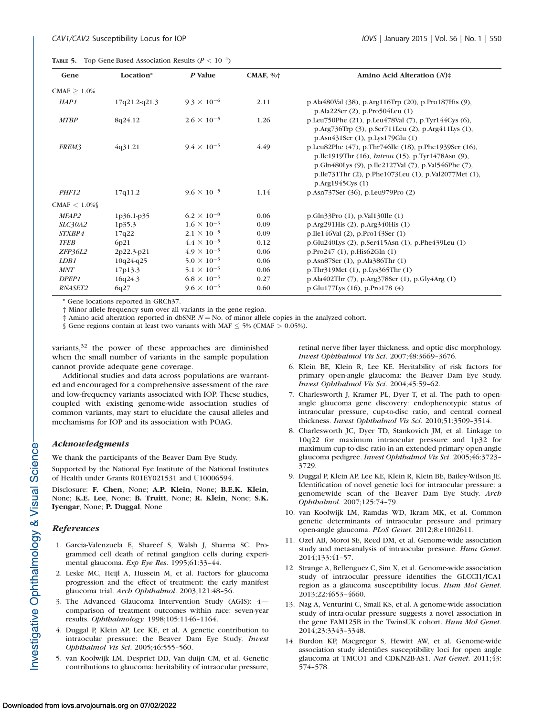|  |  | <b>TABLE 5.</b> Top Gene-Based Association Results ( $P < 10^{-4}$ ) |  |  |  |  |  |
|--|--|----------------------------------------------------------------------|--|--|--|--|--|
|--|--|----------------------------------------------------------------------|--|--|--|--|--|

| Gene              | Location*       | P Value              | CMAF, $\%$ <sup>+</sup> | Amino Acid Alteration $(N)$ <sup><math>\ddagger</math></sup>                                                                                                                                                                                           |
|-------------------|-----------------|----------------------|-------------------------|--------------------------------------------------------------------------------------------------------------------------------------------------------------------------------------------------------------------------------------------------------|
| $CMAF > 1.0\%$    |                 |                      |                         |                                                                                                                                                                                                                                                        |
| HAP1              | $17q21.2-q21.3$ | $9.3 \times 10^{-6}$ | 2.11                    | p.Ala480Val (38), p.Arg116Trp (20), p.Pro187His (9),<br>p.Ala22Ser (2), p.Pro504Leu (1)                                                                                                                                                                |
| <b>MTBP</b>       | 8q24.12         | $2.6 \times 10^{-5}$ | 1.26                    | p.Leu750Phe (21), p.Leu478Val (7), p.Tyr144Cys (6),<br>p.Arg736Trp (3), p.Ser711Leu (2), p.Arg411Lys (1),<br>p.Asn431Ser (1), p.Lys179Glu (1)                                                                                                          |
| FREM3             | 4q31.21         | $9.4 \times 10^{-5}$ | 4.49                    | p.Leu82Phe (47), p.Thr746Ile (18), p.Phe1939Ser (16),<br>p. Ile1919Thr (16), <i>Intron</i> (15), p. Tyr1478Asn (9),<br>p.Gln480Lys (9), p.Ile2127Val (7), p.Val546Phe (7),<br>p.Ile731Thr (2), p.Phe1073Leu (1), p.Val2077Met (1),<br>p.Arg1945Cys (1) |
| PHF12             | 17q11.2         | $9.6 \times 10^{-5}$ | 1.14                    | p.Asn737Ser (36), p.Leu979Pro (2)                                                                                                                                                                                                                      |
| CMAF $< 1.0\%$    |                 |                      |                         |                                                                                                                                                                                                                                                        |
| MFAP2             | 1p36.1-p35      | $6.2 \times 10^{-8}$ | 0.06                    | p.Gln33Pro (1), p.Val130Ile (1)                                                                                                                                                                                                                        |
| <i>SLC30A2</i>    | 1p35.3          | $1.6 \times 10^{-5}$ | 0.09                    | p.Arg291His (2), p.Arg340His (1)                                                                                                                                                                                                                       |
| <i>STXBP4</i>     | 17q22           | $2.1 \times 10^{-5}$ | 0.09                    | p.Ile146Val (2), p.Pro143Ser (1)                                                                                                                                                                                                                       |
| <b>TFEB</b>       | 6p21            | $4.4 \times 10^{-5}$ | 0.12                    | p.Glu240Lys (2), p.Ser415Asn (1), p.Phe439Leu (1)                                                                                                                                                                                                      |
| ZFP36L2           | 2p22.3-p21      | $4.9 \times 10^{-5}$ | 0.06                    | p.Pro247(1), p.His62Gln(1)                                                                                                                                                                                                                             |
| LDB1              | $10q24-q25$     | $5.0 \times 10^{-5}$ | 0.06                    | p.Asn87Ser (1), p.Ala386Thr (1)                                                                                                                                                                                                                        |
| <b>MNT</b>        | 17p13.3         | $5.1 \times 10^{-5}$ | 0.06                    | p.Thr319Met (1), p.Lys365Thr (1)                                                                                                                                                                                                                       |
| DPEP <sub>1</sub> | 16q24.3         | $6.8 \times 10^{-5}$ | 0.27                    | p.Ala402Thr (7), p.Arg378Ser (1), p.Gly4Arg (1)                                                                                                                                                                                                        |
| <b>RNASET2</b>    | 6q27            | $9.6 \times 10^{-5}$ | 0.60                    | p. Glu $177$ Lys $(16)$ , p. Pro $178(4)$                                                                                                                                                                                                              |

\* Gene locations reported in GRCh37.

† Minor allele frequency sum over all variants in the gene region.

 $\ddagger$  Amino acid alteration reported in dbSNP.  $N =$  No. of minor allele copies in the analyzed cohort.

§ Gene regions contain at least two variants with MAF  $\leq$  5% (CMAF  $>$  0.05%).

variants,<sup>32</sup> the power of these approaches are diminished when the small number of variants in the sample population cannot provide adequate gene coverage.

Additional studies and data across populations are warranted and encouraged for a comprehensive assessment of the rare and low-frequency variants associated with IOP. These studies, coupled with existing genome-wide association studies of common variants, may start to elucidate the causal alleles and mechanisms for IOP and its association with POAG.

## Acknowledgments

We thank the participants of the Beaver Dam Eye Study.

Supported by the National Eye Institute of the National Institutes of Health under Grants R01EY021531 and U10006594.

Disclosure: F. Chen, None; A.P. Klein, None; B.E.K. Klein, None; K.E. Lee, None; B. Truitt, None; R. Klein, None; S.K. Iyengar, None; P. Duggal, None

## References

- 1. Garcia-Valenzuela E, Shareef S, Walsh J, Sharma SC. Programmed cell death of retinal ganglion cells during experimental glaucoma. Exp Eye Res. 1995;61:33–44.
- 2. Leske MC, Heijl A, Hussein M, et al. Factors for glaucoma progression and the effect of treatment: the early manifest glaucoma trial. Arch Ophthalmol. 2003;121:48-56.
- 3. The Advanced Glaucoma Intervention Study (AGIS): 4 comparison of treatment outcomes within race: seven-year results. Ophthalmology. 1998;105:1146–1164.
- 4. Duggal P, Klein AP, Lee KE, et al. A genetic contribution to intraocular pressure: the Beaver Dam Eye Study. Invest Ophthalmol Vis Sci. 2005;46:555–560.
- 5. van Koolwijk LM, Despriet DD, Van duijn CM, et al. Genetic contributions to glaucoma: heritability of intraocular pressure,

retinal nerve fiber layer thickness, and optic disc morphology. Invest Ophthalmol Vis Sci. 2007;48:3669–3676.

- 6. Klein BE, Klein R, Lee KE. Heritability of risk factors for primary open-angle glaucoma: the Beaver Dam Eye Study. Invest Ophthalmol Vis Sci. 2004;45:59–62.
- 7. Charlesworth J, Kramer PL, Dyer T, et al. The path to openangle glaucoma gene discovery: endophenotypic status of intraocular pressure, cup-to-disc ratio, and central corneal thickness. Invest Ophthalmol Vis Sci. 2010;51:3509-3514.
- 8. Charlesworth JC, Dyer TD, Stankovich JM, et al. Linkage to 10q22 for maximum intraocular pressure and 1p32 for maximum cup-to-disc ratio in an extended primary open-angle glaucoma pedigree. Invest Ophthalmol Vis Sci. 2005;46:3723– 3729.
- 9. Duggal P, Klein AP, Lee KE, Klein R, Klein BE, Bailey-Wilson JE. Identification of novel genetic loci for intraocular pressure: a genomewide scan of the Beaver Dam Eye Study. Arch Ophthalmol. 2007;125:74–79.
- 10. van Koolwijk LM, Ramdas WD, Ikram MK, et al. Common genetic determinants of intraocular pressure and primary open-angle glaucoma. PLoS Genet. 2012;8:e1002611.
- 11. Ozel AB, Moroi SE, Reed DM, et al. Genome-wide association study and meta-analysis of intraocular pressure. Hum Genet. 2014;133:41–57.
- 12. Strange A, Bellenguez C, Sim X, et al. Genome-wide association study of intraocular pressure identifies the GLCCI1/ICA1 region as a glaucoma susceptibility locus. Hum Mol Genet. 2013;22:4653–4660.
- 13. Nag A, Venturini C, Small KS, et al. A genome-wide association study of intra-ocular pressure suggests a novel association in the gene FAM125B in the TwinsUK cohort. Hum Mol Genet. 2014;23:3343–3348.
- 14. Burdon KP, Macgregor S, Hewitt AW, et al. Genome-wide association study identifies susceptibility loci for open angle glaucoma at TMCO1 and CDKN2B-AS1. Nat Genet. 2011;43: 574–578.